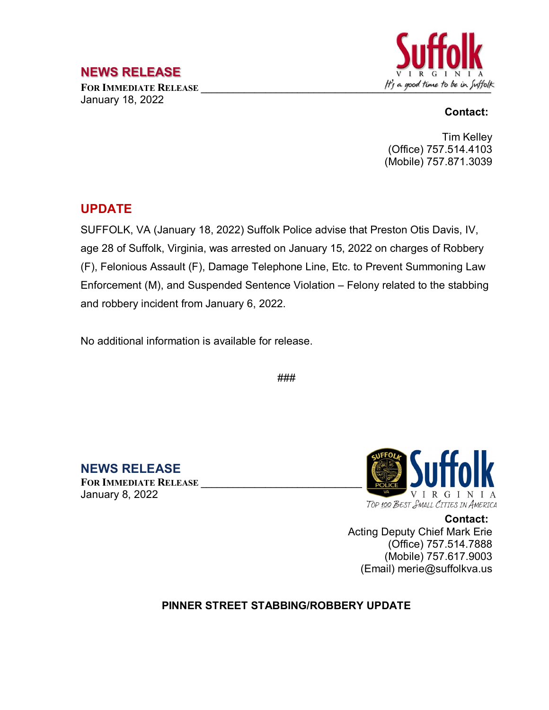## **NEWS RELEASE**

January 18, 2022



#### **Contact:**

Tim Kelley (Office) 757.514.4103 (Mobile) 757.871.3039

### **UPDATE**

SUFFOLK, VA (January 18, 2022) Suffolk Police advise that Preston Otis Davis, IV, age 28 of Suffolk, Virginia, was arrested on January 15, 2022 on charges of Robbery (F), Felonious Assault (F), Damage Telephone Line, Etc. to Prevent Summoning Law Enforcement (M), and Suspended Sentence Violation – Felony related to the stabbing and robbery incident from January 6, 2022.

No additional information is available for release.

###

**NEWS RELEASE FOR IMMEDIATE RELEASE \_\_\_\_\_\_\_\_\_\_\_\_\_\_\_\_\_\_\_\_\_\_\_\_\_\_\_\_\_\_** January 8, 2022



**Contact:** Acting Deputy Chief Mark Erie (Office) 757.514.7888 (Mobile) 757.617.9003 (Email) merie@suffolkva.us

#### **PINNER STREET STABBING/ROBBERY UPDATE**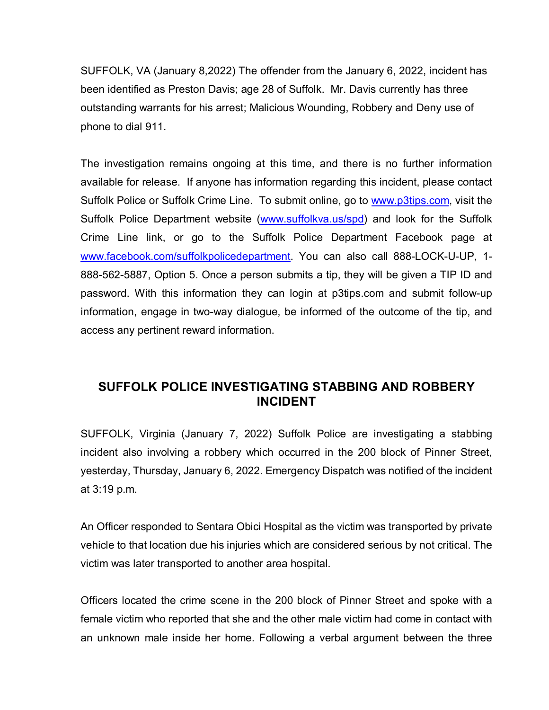SUFFOLK, VA (January 8,2022) The offender from the January 6, 2022, incident has been identified as Preston Davis; age 28 of Suffolk. Mr. Davis currently has three outstanding warrants for his arrest; Malicious Wounding, Robbery and Deny use of phone to dial 911.

The investigation remains ongoing at this time, and there is no further information available for release. If anyone has information regarding this incident, please contact Suffolk Police or Suffolk Crime Line. To submit online, go to [www.p3tips.com,](http://www.p3tips.com/) visit the Suffolk Police Department website [\(www.suffolkva.us/spd\)](http://www.suffolkva.us/spd) and look for the Suffolk Crime Line link, or go to the Suffolk Police Department Facebook page at [www.facebook.com/suffolkpolicedepartment.](http://www.facebook.com/suffolkpolicedepartment) You can also call 888-LOCK-U-UP, 1- 888-562-5887, Option 5. Once a person submits a tip, they will be given a TIP ID and password. With this information they can login at p3tips.com and submit follow-up information, engage in two-way dialogue, be informed of the outcome of the tip, and access any pertinent reward information.

# **SUFFOLK POLICE INVESTIGATING STABBING AND ROBBERY INCIDENT**

SUFFOLK, Virginia (January 7, 2022) Suffolk Police are investigating a stabbing incident also involving a robbery which occurred in the 200 block of Pinner Street, yesterday, Thursday, January 6, 2022. Emergency Dispatch was notified of the incident at 3:19 p.m.

An Officer responded to Sentara Obici Hospital as the victim was transported by private vehicle to that location due his injuries which are considered serious by not critical. The victim was later transported to another area hospital.

Officers located the crime scene in the 200 block of Pinner Street and spoke with a female victim who reported that she and the other male victim had come in contact with an unknown male inside her home. Following a verbal argument between the three